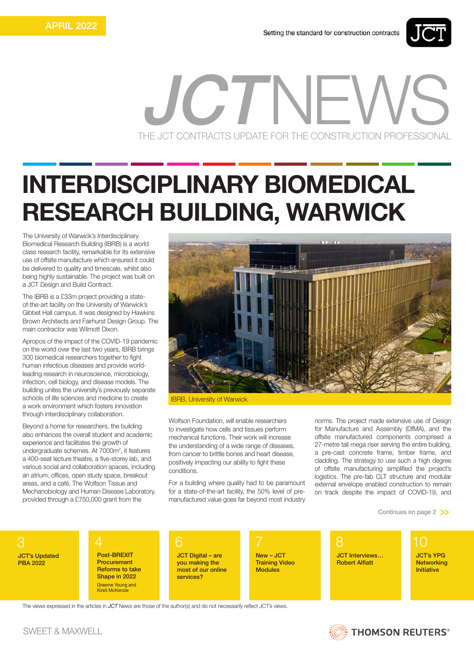

## THE JCT CONTRACTS UPDATE FOR THE CONSTRUCTION PROFESSIONAL  $C/I$ N

## INTERDISCIPLINARY BIOMEDICAL RESEARCH BUILDING, WARWICK

The University of Warwick's Interdisciplinary Biomedical Research Building (IBRB) is a world class research facility, remarkable for its extensive use of offsite manufacture which ensured it could be delivered to quality and timescale, whilst also being highly sustainable. The project was built on a JCT Design and Build Contract.

The IBRB is a £33m project providing a stateof-the-art facility on the University of Warwick's Gibbet Hall campus. It was designed by Hawkins Brown Architects and Fairhurst Design Group. The main contractor was Wilmott Dixon.

Apropos of the impact of the COVID-19 pandemic on the world over the last two years, IBRB brings 300 biomedical researchers together to fight human infectious diseases and provide worldleading research in neuroscience, microbiology, infection, cell biology, and disease models. The building unites the university's previously separate schools of life sciences and medicine to create a work environment which fosters innovation through interdisciplinary collaboration.

Beyond a home for researchers, the building also enhances the overall student and academic experience and facilitates the growth of undergraduate schemes. At 7000m<sup>2</sup>, it features a 400-seat lecture theatre, a five-storey lab, and various social and collaboration spaces, including an atrium, offices, open study space, breakout areas, and a café. The Wolfson Tissue and Mechanobiology and Human Disease Laboratory, provided through a £750,000 grant from the



IBRB, University of Warwick

Wolfson Foundation, will enable researchers to investigate how cells and tissues perform mechanical functions. Their work will increase the understanding of a wide range of diseases, from cancer to brittle bones and heart disease, positively impacting our ability to fight these conditions.

For a building where quality had to be paramount for a state-of-the-art facility, the 50% level of premanufactured value goes far beyond most industry norms. The project made extensive use of Design for Manufacture and Assembly (DfMA), and the offsite manufactured components comprised a 27-metre tall mega riser serving the entire building, a pre-cast concrete frame, timber frame, and cladding. The strategy to use such a high degree of offsite manufacturing simplified the project's logistics. The pre-fab CLT structure and modular external envelope enabled construction to remain on track despite the impact of COVID-19, and

Continues on page 2 >>

3 JCT's Updated PBA 2022

Post-BREXIT Procurement Reforms to take Shape in 2022 Graeme Young and Kirsti McKenzie

4 6 7 JCT Digital – are you making the most of our online services?

New – JCT Training Video **Modules** 

8 10 JCT Interviews… **Robert Alflatt** 

JCT's YPG **Networking** Initiative

The views expressed in the articles in *JCT* News are those of the author(s) and do not necessarily reflect JCT's views.



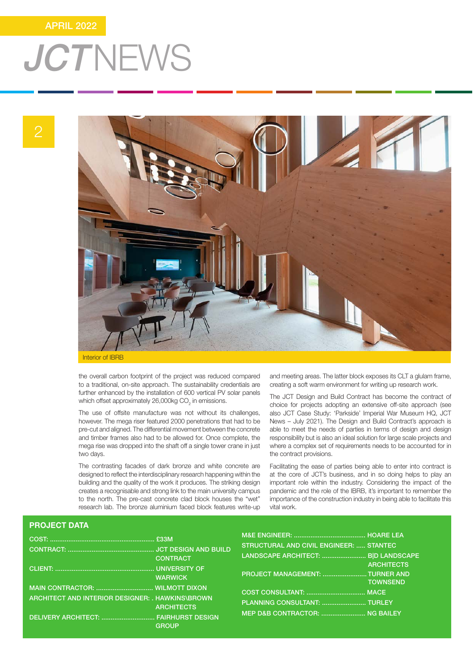### APRIL 2022

## **JCTNEWS**



the overall carbon footprint of the project was reduced compared to a traditional, on-site approach. The sustainability credentials are further enhanced by the installation of 600 vertical PV solar panels which offset approximately 26,000kg CO $_{\textrm{\tiny{2}}}$  in emissions.

The use of offsite manufacture was not without its challenges, however. The mega riser featured 2000 penetrations that had to be pre-cut and aligned. The differential movement between the concrete and timber frames also had to be allowed for. Once complete, the mega rise was dropped into the shaft off a single tower crane in just two days.

The contrasting facades of dark bronze and white concrete are designed to reflect the interdisciplinary research happening within the building and the quality of the work it produces. The striking design creates a recognisable and strong link to the main university campus to the north. The pre-cast concrete clad block houses the "wet" research lab. The bronze aluminium faced block features write-up and meeting areas. The latter block exposes its CLT a glulam frame, creating a soft warm environment for writing up research work.

The JCT Design and Build Contract has become the contract of choice for projects adopting an extensive off-site approach (see also JCT Case Study: 'Parkside' Imperial War Museum HQ, JCT News – July 2021). The Design and Build Contract's approach is able to meet the needs of parties in terms of design and design responsibility but is also an ideal solution for large scale projects and where a complex set of requirements needs to be accounted for in the contract provisions.

Facilitating the ease of parties being able to enter into contract is at the core of JCT's business, and in so doing helps to play an important role within the industry. Considering the impact of the pandemic and the role of the IBRB, it's important to remember the importance of the construction industry in being able to facilitate this vital work.

### PROJECT DATA

|                                                                                           |                                   | STRUCTURAL AND CIVIL ENGINEER:  STANTEC                        |                                      |
|-------------------------------------------------------------------------------------------|-----------------------------------|----------------------------------------------------------------|--------------------------------------|
|                                                                                           | <b>CONTRACT</b><br><b>WARWICK</b> | LANDSCAPE ARCHITECT:  B D LANDSCAPE                            | <b>ARCHITECTS</b><br><b>TOWNSEND</b> |
| ARCHITECT AND INTERIOR DESIGNER: . HAWKINS\BROWN<br>DELIVERY ARCHITECT:  FAIRHURST DESIGN | <b>ARCHITECTS</b>                 | PLANNING CONSULTANT:  TURLEY<br>MEP D&B CONTRACTOR:  NG BAILEY |                                      |
|                                                                                           | GROUP                             |                                                                |                                      |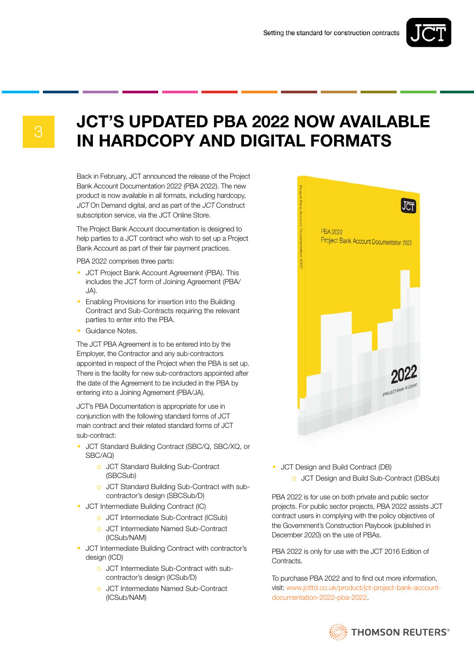

## **JCT'S UPDATED PBA 2022 NOW AVAILABLE** IN HARDCOPY AND DIGITAL FORMATS

Back in February, JCT announced the release of the Project Bank Account Documentation 2022 (PBA 2022). The new product is now available in all formats, including hardcopy, JCT On Demand digital, and as part of the JCT Construct subscription service, via the JCT Online Store.

The Project Bank Account documentation is designed to help parties to a JCT contract who wish to set up a Project Bank Account as part of their fair payment practices.

PBA 2022 comprises three parts:

- JCT Project Bank Account Agreement (PBA). This includes the JCT form of Joining Agreement (PBA/ JA).
- Enabling Provisions for insertion into the Building Contract and Sub-Contracts requiring the relevant parties to enter into the PBA.
- Guidance Notes.

The JCT PBA Agreement is to be entered into by the Employer, the Contractor and any sub-contractors appointed in respect of the Project when the PBA is set up. There is the facility for new sub-contractors appointed after the date of the Agreement to be included in the PBA by entering into a Joining Agreement (PBA/JA).

JCT's PBA Documentation is appropriate for use in conjunction with the following standard forms of JCT main contract and their related standard forms of JCT sub-contract:

- JCT Standard Building Contract (SBC/Q, SBC/XQ, or SBC/AQ)
	- o JCT Standard Building Sub-Contract (SBCSub)
	- o JCT Standard Building Sub-Contract with subcontractor's design (SBCSub/D)
- JCT Intermediate Building Contract (IC)
	- o JCT Intermediate Sub-Contract (ICSub)
	- o JCT Intermediate Named Sub-Contract (ICSub/NAM)
- JCT Intermediate Building Contract with contractor's design (ICD)
	- o JCT Intermediate Sub-Contract with subcontractor's design (ICSub/D)
	- o JCT Intermediate Named Sub-Contract (ICSub/NAM)



- JCT Design and Build Contract (DB)
	- o JCT Design and Build Sub-Contract (DBSub)

PBA 2022 is for use on both private and public sector projects. For public sector projects, PBA 2022 assists JCT contract users in complying with the policy objectives of the Government's Construction Playbook (published in December 2020) on the use of PBAs.

PBA 2022 is only for use with the JCT 2016 Edition of Contracts.

To purchase PBA 2022 and to find out more information, visit: www.jctltd.co.uk/product/jct-project-bank-accountdocumentation-2022-pba-2022.

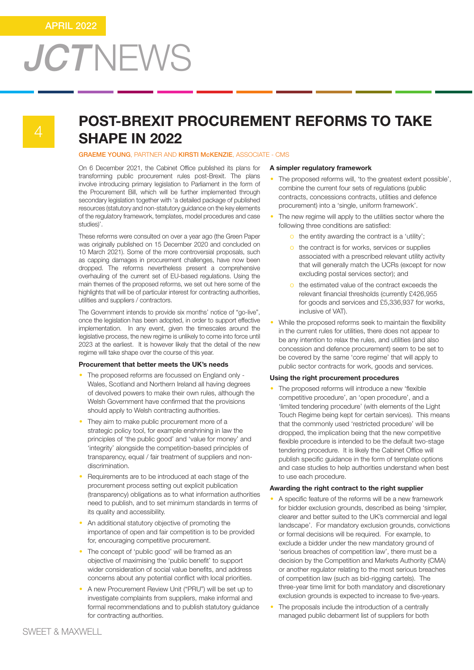## POST-BREXIT PROCUREMENT REFORMS TO TAKE **SHAPE IN 2022**

GRAEME YOUNG, PARTNER AND KIRSTI McKENZIE, ASSOCIATE - CMS

On 6 December 2021, the Cabinet Office published its plans for transforming public procurement rules post-Brexit. The plans involve introducing primary legislation to Parliament in the form of the Procurement Bill, which will be further implemented through secondary legislation together with 'a detailed package of published resources (statutory and non-statutory guidance on the key elements of the regulatory framework, templates, model procedures and case studies)'.

These reforms were consulted on over a year ago (the Green Paper was originally published on 15 December 2020 and concluded on 10 March 2021). Some of the more controversial proposals, such as capping damages in procurement challenges, have now been dropped. The reforms nevertheless present a comprehensive overhauling of the current set of EU-based regulations. Using the main themes of the proposed reforms, we set out here some of the highlights that will be of particular interest for contracting authorities, utilities and suppliers / contractors.

The Government intends to provide six months' notice of "go-live", once the legislation has been adopted, in order to support effective implementation. In any event, given the timescales around the legislative process, the new regime is unlikely to come into force until 2023 at the earliest. It is however likely that the detail of the new regime will take shape over the course of this year.

### Procurement that better meets the UK's needs

- The proposed reforms are focussed on England only Wales, Scotland and Northern Ireland all having degrees of devolved powers to make their own rules, although the Welsh Government have confirmed that the provisions should apply to Welsh contracting authorities.
- They aim to make public procurement more of a strategic policy tool, for example enshrining in law the principles of 'the public good' and 'value for money' and 'integrity' alongside the competition-based principles of transparency, equal / fair treatment of suppliers and nondiscrimination.
- Requirements are to be introduced at each stage of the procurement process setting out explicit publication (transparency) obligations as to what information authorities need to publish, and to set minimum standards in terms of its quality and accessibility.
- An additional statutory objective of promoting the importance of open and fair competition is to be provided for, encouraging competitive procurement.
- The concept of 'public good' will be framed as an objective of maximising the 'public benefit' to support wider consideration of social value benefits, and address concerns about any potential conflict with local priorities.
- A new Procurement Review Unit ("PRU") will be set up to investigate complaints from suppliers, make informal and formal recommendations and to publish statutory guidance for contracting authorities.

### A simpler regulatory framework

- The proposed reforms will, 'to the greatest extent possible', combine the current four sets of regulations (public contracts, concessions contracts, utilities and defence procurement) into a 'single, uniform framework'.
- The new regime will apply to the utilities sector where the following three conditions are satisfied:
	- o the entity awarding the contract is a 'utility';
	- o the contract is for works, services or supplies associated with a prescribed relevant utility activity that will generally match the UCRs (except for now excluding postal services sector); and
	- o the estimated value of the contract exceeds the relevant financial thresholds (currently £426,955 for goods and services and £5,336,937 for works, inclusive of VAT).
- While the proposed reforms seek to maintain the flexibility in the current rules for utilities, there does not appear to be any intention to relax the rules, and utilities (and also concession and defence procurement) seem to be set to be covered by the same 'core regime' that will apply to public sector contracts for work, goods and services.

### Using the right procurement procedures

• The proposed reforms will introduce a new 'flexible competitive procedure', an 'open procedure', and a 'limited tendering procedure' (with elements of the Light Touch Regime being kept for certain services). This means that the commonly used 'restricted procedure' will be dropped, the implication being that the new competitive flexible procedure is intended to be the default two-stage tendering procedure. It is likely the Cabinet Office will publish specific guidance in the form of template options and case studies to help authorities understand when best to use each procedure.

### Awarding the right contract to the right supplier

- A specific feature of the reforms will be a new framework for bidder exclusion grounds, described as being 'simpler, clearer and better suited to the UK's commercial and legal landscape'. For mandatory exclusion grounds, convictions or formal decisions will be required. For example, to exclude a bidder under the new mandatory ground of 'serious breaches of competition law', there must be a decision by the Competition and Markets Authority (CMA) or another regulator relating to the most serious breaches of competition law (such as bid-rigging cartels). The three-year time limit for both mandatory and discretionary exclusion grounds is expected to increase to five-years.
- The proposals include the introduction of a centrally managed public debarment list of suppliers for both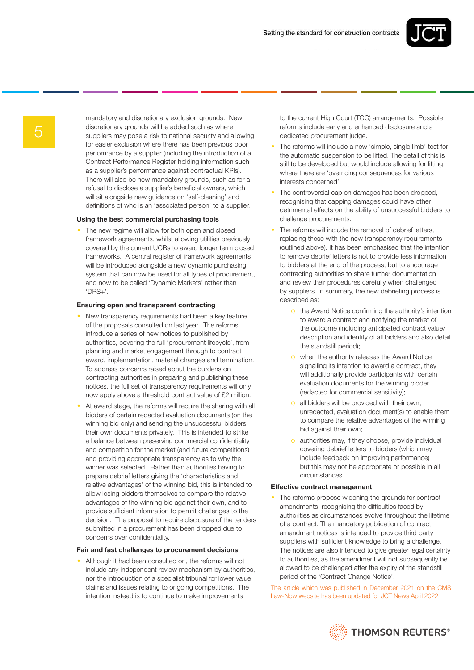

mandatory and discretionary exclusion grounds. New discretionary grounds will be added such as where suppliers may pose a risk to national security and allowing for easier exclusion where there has been previous poor performance by a supplier (including the introduction of a Contract Performance Register holding information such as a supplier's performance against contractual KPIs). There will also be new mandatory grounds, such as for a refusal to disclose a supplier's beneficial owners, which will sit alongside new guidance on 'self-cleaning' and definitions of who is an 'associated person' to a supplier.

### Using the best commercial purchasing tools

The new regime will allow for both open and closed framework agreements, whilst allowing utilities previously covered by the current UCRs to award longer term closed frameworks. A central register of framework agreements will be introduced alongside a new dynamic purchasing system that can now be used for all types of procurement, and now to be called 'Dynamic Markets' rather than 'DPS+'.

### Ensuring open and transparent contracting

- New transparency requirements had been a key feature of the proposals consulted on last year. The reforms introduce a series of new notices to published by authorities, covering the full 'procurement lifecycle', from planning and market engagement through to contract award, implementation, material changes and termination. To address concerns raised about the burdens on contracting authorities in preparing and publishing these notices, the full set of transparency requirements will only now apply above a threshold contract value of £2 million.
- At award stage, the reforms will require the sharing with all bidders of certain redacted evaluation documents (on the winning bid only) and sending the unsuccessful bidders their own documents privately. This is intended to strike a balance between preserving commercial confidentiality and competition for the market (and future competitions) and providing appropriate transparency as to why the winner was selected. Rather than authorities having to prepare debrief letters giving the 'characteristics and relative advantages' of the winning bid, this is intended to allow losing bidders themselves to compare the relative advantages of the winning bid against their own, and to provide sufficient information to permit challenges to the decision. The proposal to require disclosure of the tenders submitted in a procurement has been dropped due to concerns over confidentiality.

#### Fair and fast challenges to procurement decisions

• Although it had been consulted on, the reforms will not include any independent review mechanism by authorities, nor the introduction of a specialist tribunal for lower value claims and issues relating to ongoing competitions. The intention instead is to continue to make improvements

to the current High Court (TCC) arrangements. Possible reforms include early and enhanced disclosure and a dedicated procurement judge.

- The reforms will include a new 'simple, single limb' test for the automatic suspension to be lifted. The detail of this is still to be developed but would include allowing for lifting where there are 'overriding consequences for various interests concerned'.
- The controversial cap on damages has been dropped, recognising that capping damages could have other detrimental effects on the ability of unsuccessful bidders to challenge procurements.
- The reforms will include the removal of debrief letters, replacing these with the new transparency requirements (outlined above). It has been emphasised that the intention to remove debrief letters is not to provide less information to bidders at the end of the process, but to encourage contracting authorities to share further documentation and review their procedures carefully when challenged by suppliers. In summary, the new debriefing process is described as:
	- o the Award Notice confirming the authority's intention to award a contract and notifying the market of the outcome (including anticipated contract value/ description and identity of all bidders and also detail the standstill period);
	- o when the authority releases the Award Notice signalling its intention to award a contract, they will additionally provide participants with certain evaluation documents for the winning bidder (redacted for commercial sensitivity);
	- o all bidders will be provided with their own, unredacted, evaluation document(s) to enable them to compare the relative advantages of the winning bid against their own;
	- o authorities may, if they choose, provide individual covering debrief letters to bidders (which may include feedback on improving performance) but this may not be appropriate or possible in all circumstances.

### Effective contract management

The reforms propose widening the grounds for contract amendments, recognising the difficulties faced by authorities as circumstances evolve throughout the lifetime of a contract. The mandatory publication of contract amendment notices is intended to provide third party suppliers with sufficient knowledge to bring a challenge. The notices are also intended to give greater legal certainty to authorities, as the amendment will not subsequently be allowed to be challenged after the expiry of the standstill period of the 'Contract Change Notice'.

The article which was published in December 2021 on the CMS Law-Now website has been updated for JCT News April 2022

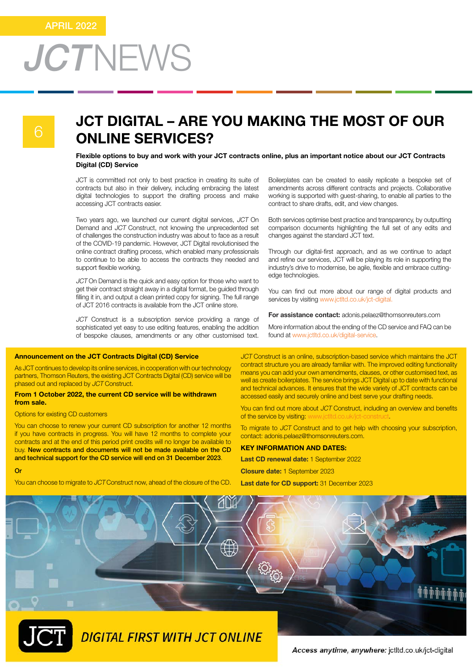### JCT DIGITAL – ARE YOU MAKING THE MOST OF OUR ONLINE SERVICES?

Flexible options to buy and work with your JCT contracts online, plus an important notice about our JCT Contracts Digital (CD) Service

JCT is committed not only to best practice in creating its suite of contracts but also in their delivery, including embracing the latest digital technologies to support the drafting process and make accessing JCT contracts easier.

Two years ago, we launched our current digital services, JCT On Demand and JCT Construct, not knowing the unprecedented set of challenges the construction industry was about to face as a result of the COVID-19 pandemic. However, JCT Digital revolutionised the online contract drafting process, which enabled many professionals to continue to be able to access the contracts they needed and support flexible working.

JCT On Demand is the quick and easy option for those who want to get their contract straight away in a digital format, be guided through filling it in, and output a clean printed copy for signing. The full range of JCT 2016 contracts is available from the JCT online store.

JCT Construct is a subscription service providing a range of sophisticated yet easy to use editing features, enabling the addition of bespoke clauses, amendments or any other customised text.

### Announcement on the JCT Contracts Digital (CD) Service

As JCT continues to develop its online services, in cooperation with our technology partners, Thomson Reuters, the existing JCT Contracts Digital (CD) service will be phased out and replaced by JCT Construct.

### From 1 October 2022, the current CD service will be withdrawn from sale.

### Options for existing CD customers

You can choose to renew your current CD subscription for another 12 months if you have contracts in progress. You will have 12 months to complete your contracts and at the end of this period print credits will no longer be available to buy. New contracts and documents will not be made available on the CD and technical support for the CD service will end on 31 December 2023.

Or

You can choose to migrate to JCT Construct now, ahead of the closure of the CD.

Boilerplates can be created to easily replicate a bespoke set of amendments across different contracts and projects. Collaborative working is supported with guest-sharing, to enable all parties to the contract to share drafts, edit, and view changes.

Both services optimise best practice and transparency, by outputting comparison documents highlighting the full set of any edits and changes against the standard JCT text.

Through our digital-first approach, and as we continue to adapt and refine our services, JCT will be playing its role in supporting the industry's drive to modernise, be agile, flexible and embrace cuttingedge technologies.

You can find out more about our range of digital products and services by visiting www.jctltd.co.uk/jct-digital.

For assistance contact: adonis.pelaez@thomsonreuters.com

More information about the ending of the CD service and FAQ can be found at www.jctltd.co.uk/digital-service.

JCT Construct is an online, subscription-based service which maintains the JCT contract structure you are already familiar with. The improved editing functionality means you can add your own amendments, clauses, or other customised text, as well as create boilerplates. The service brings JCT Digital up to date with functional and technical advances. It ensures that the wide variety of JCT contracts can be accessed easily and securely online and best serve your drafting needs.

You can find out more about JCT Construct, including an overview and benefits of the service by visiting: www.jctltd.co.uk/jct-construct

To migrate to JCT Construct and to get help with choosing your subscription, contact: adonis.pelaez@thomsonreuters.com.

### KEY INFORMATION AND DATES:

Last CD renewal date: 1 September 2022

Closure date: 1 September 2023

Last date for CD support: 31 December 2023



Access anytime, anywhere: jctltd.co.uk/jct-digital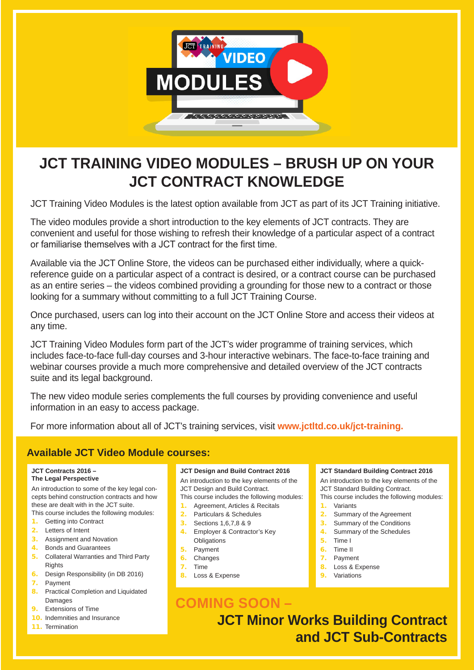

## **JCT TRAINING VIDEO MODULES – BRUSH UP ON YOUR JCT CONTRACT KNOWLEDGE**

JCT Training Video Modules is the latest option available from JCT as part of its JCT Training initiative.

The video modules provide a short introduction to the key elements of JCT contracts. They are convenient and useful for those wishing to refresh their knowledge of a particular aspect of a contract or familiarise themselves with a JCT contract for the first time.

Available via the JCT Online Store, the videos can be purchased either individually, where a quickreference guide on a particular aspect of a contract is desired, or a contract course can be purchased as an entire series – the videos combined providing a grounding for those new to a contract or those looking for a summary without committing to a full JCT Training Course.

Once purchased, users can log into their account on the JCT Online Store and access their videos at any time.

JCT Training Video Modules form part of the JCT's wider programme of training services, which includes face-to-face full-day courses and 3-hour interactive webinars. The face-to-face training and webinar courses provide a much more comprehensive and detailed overview of the JCT contracts suite and its legal background.

The new video module series complements the full courses by providing convenience and useful information in an easy to access package.

For more information about all of JCT's training services, visit **[www.jctltd.co.uk/jct-training.](www.jctltd.co.uk/jct-training)**

### **Available JCT Video Module courses:**

### **JCT Contracts 2016 – The Legal Perspective**

An introduction to some of the key legal concepts behind construction contracts and how these are dealt with in the JCT suite. This course includes the following modules:

- 1. Getting into Contract
- 2. Letters of Intent
- 3. Assignment and Novation
- 4. Bonds and Guarantees
- 5. Collateral Warranties and Third Party **Rights**
- 6. Design Responsibility (in DB 2016)
- 7. Payment
- 8. Practical Completion and Liquidated Damages
- 9. Extensions of Time
- 10. Indemnities and Insurance
- 11 Termination

### **JCT Design and Build Contract 2016**

An introduction to the key elements of the JCT Design and Build Contract.

This course includes the following modules: 1. Agreement, Articles & Recitals

- 2. Particulars & Schedules
- 3. Sections 1,6,7,8 & 9
- 4. Employer & Contractor's Key **Obligations**
- 5. Payment
- 6. Changes
- 7. Time
- 8. Loss & Expense

### **COMING SOON – JCT Minor Works Building Contract and JCT Sub-Contracts**

### **JCT Standard Building Contract 2016**

An introduction to the key elements of the JCT Standard Building Contract.

- This course includes the following modules: 1. Variants
- 
- 2. Summary of the Agreement
- 3. Summary of the Conditions 4. Summary of the Schedules
- 
- 5. Time I
- 6. Time II 7. Payment
- 8. Loss & Expense
- 9. Variations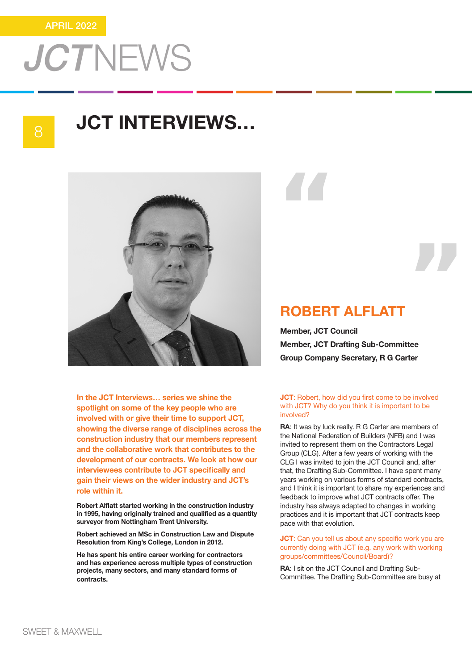8

## JCT INTERVIEWS…



In the JCT Interviews… series we shine the spotlight on some of the key people who are involved with or give their time to support JCT, showing the diverse range of disciplines across the construction industry that our members represent and the collaborative work that contributes to the development of our contracts. We look at how our interviewees contribute to JCT specifically and gain their views on the wider industry and JCT's role within it.

Robert Alflatt started working in the construction industry in 1995, having originally trained and qualified as a quantity surveyor from Nottingham Trent University.

Robert achieved an MSc in Construction Law and Dispute Resolution from King's College, London in 2012.

He has spent his entire career working for contractors and has experience across multiple types of construction projects, many sectors, and many standard forms of contracts.

"

### ROBERT ALFLATT

Member, JCT Council Member, JCT Drafting Sub-Committee Group Company Secretary, R G Carter "

### **JCT:** Robert, how did you first come to be involved with JCT? Why do you think it is important to be involved?

RA: It was by luck really. R G Carter are members of the National Federation of Builders (NFB) and I was invited to represent them on the Contractors Legal Group (CLG). After a few years of working with the CLG I was invited to join the JCT Council and, after that, the Drafting Sub-Committee. I have spent many years working on various forms of standard contracts, and I think it is important to share my experiences and feedback to improve what JCT contracts offer. The industry has always adapted to changes in working practices and it is important that JCT contracts keep pace with that evolution.

**JCT:** Can you tell us about any specific work you are currently doing with JCT (e.g. any work with working groups/committees/Council/Board)?

RA: I sit on the JCT Council and Drafting Sub-Committee. The Drafting Sub-Committee are busy at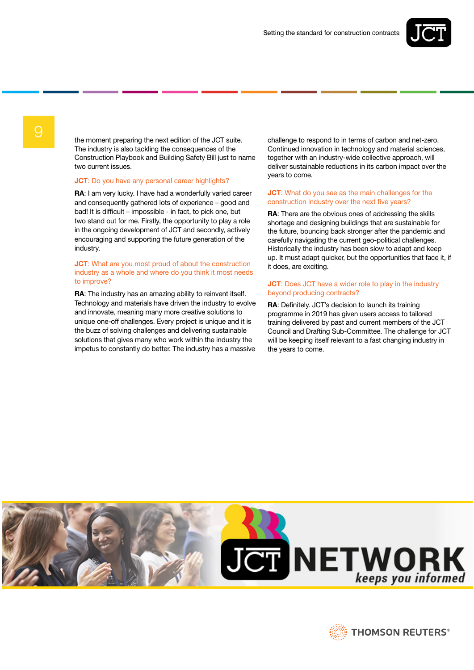

9 the moment preparing the next edition of the JCT suite. The industry is also tackling the consequences of the Construction Playbook and Building Safety Bill just to name two current issues.

### **JCT:** Do you have any personal career highlights?

RA: I am very lucky. I have had a wonderfully varied career and consequently gathered lots of experience – good and bad! It is difficult – impossible - in fact, to pick one, but two stand out for me. Firstly, the opportunity to play a role in the ongoing development of JCT and secondly, actively encouraging and supporting the future generation of the industry.

### **JCT:** What are you most proud of about the construction industry as a whole and where do you think it most needs to improve?

RA: The industry has an amazing ability to reinvent itself. Technology and materials have driven the industry to evolve and innovate, meaning many more creative solutions to unique one-off challenges. Every project is unique and it is the buzz of solving challenges and delivering sustainable solutions that gives many who work within the industry the impetus to constantly do better. The industry has a massive

challenge to respond to in terms of carbon and net-zero. Continued innovation in technology and material sciences, together with an industry-wide collective approach, will deliver sustainable reductions in its carbon impact over the years to come.

### **JCT:** What do you see as the main challenges for the construction industry over the next five years?

RA: There are the obvious ones of addressing the skills shortage and designing buildings that are sustainable for the future, bouncing back stronger after the pandemic and carefully navigating the current geo-political challenges. Historically the industry has been slow to adapt and keep up. It must adapt quicker, but the opportunities that face it, if it does, are exciting.

### **JCT:** Does JCT have a wider role to play in the industry beyond producing contracts?

RA: Definitely. JCT's decision to launch its training programme in 2019 has given users access to tailored training delivered by past and current members of the JCT Council and Drafting Sub-Committee. The challenge for JCT will be keeping itself relevant to a fast changing industry in the years to come.



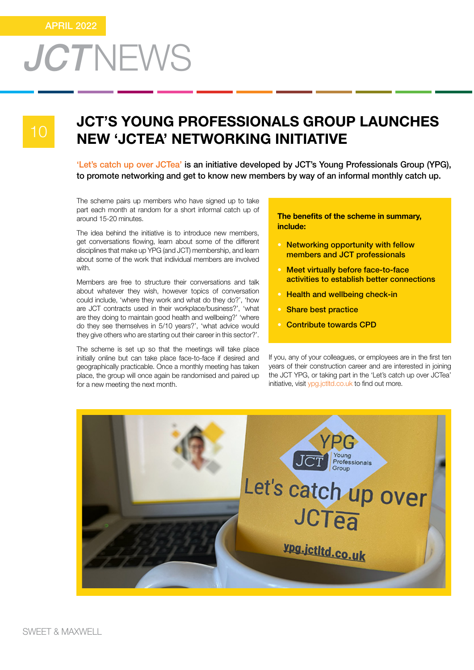10

## JCT'S YOUNG PROFESSIONALS GROUP LAUNCHES NEW 'JCTEA' NETWORKING INITIATIVE

'Let's catch up over JCTea' is an initiative developed by JCT's Young Professionals Group (YPG), to promote networking and get to know new members by way of an informal monthly catch up.

The scheme pairs up members who have signed up to take part each month at random for a short informal catch up of around 15-20 minutes.

The idea behind the initiative is to introduce new members, get conversations flowing, learn about some of the different disciplines that make up YPG (and JCT) membership, and learn about some of the work that individual members are involved with.

Members are free to structure their conversations and talk about whatever they wish, however topics of conversation could include, 'where they work and what do they do?', 'how are JCT contracts used in their workplace/business?', 'what are they doing to maintain good health and wellbeing?' 'where do they see themselves in 5/10 years?', 'what advice would they give others who are starting out their career in this sector?'.

The scheme is set up so that the meetings will take place initially online but can take place face-to-face if desired and geographically practicable. Once a monthly meeting has taken place, the group will once again be randomised and paired up for a new meeting the next month.

The benefits of the scheme in summary, include:

- Networking opportunity with fellow members and JCT professionals
- **Meet virtually before face-to-face** activities to establish better connections
- **Health and wellbeing check-in**
- **Share best practice**
- Contribute towards CPD

If you, any of your colleagues, or employees are in the first ten years of their construction career and are interested in joining the JCT YPG, or taking part in the 'Let's catch up over JCTea' initiative, visit <ypg.jctltd.co.uk> to find out more.

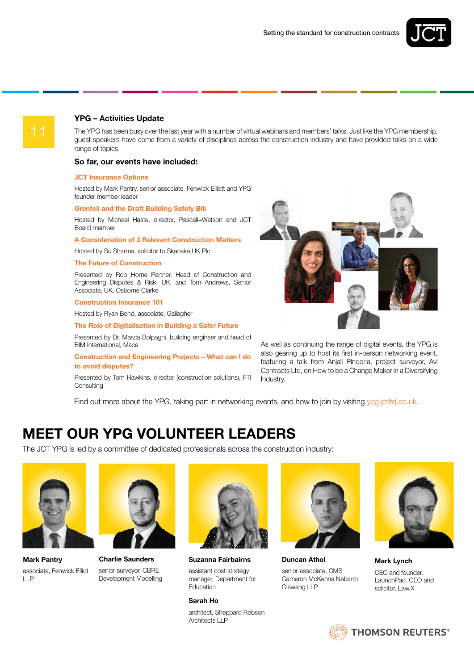

### YPG – Activities Update

The YPG has been busy over the last year with a number of virtual webinars and members' talks. Just like the YPG membership, guest speakers have come from a variety of disciplines across the construction industry and have provided talks on a wide range of topics.

### So far, our events have included:

### JCT Insurance Options

Hosted by Mark Pantry, senior associate, Fenwick Elliott and YPG founder member leader

### Grenfell and the Draft Building Safety Bill

Hosted by Michael Haste, director, Pascall+Watson and JCT Board member

### A Consideration of 3 Relevant Construction Matters

Hosted by Su Sharma, solicitor to Skanska UK Plc

#### The Future of Construction

Presented by Rob Horne Partner, Head of Construction and Engineering Disputes & Risk, UK, and Tom Andrews, Senior Associate, UK, Osborne Clarke

#### Construction Insurance 101

Hosted by Ryan Bond, associate, Gallagher

### The Role of Digitalisation in Building a Safer Future

Presented by Dr. Marzia Bolpagni, building engineer and head of BIM International, Mace

### Construction and Engineering Projects – What can I do to avoid disputes?

Presented by Tom Hawkins, director (construction solutions), FTI **Consulting** 



As well as continuing the range of digital events, the YPG is also gearing up to host its first in-person networking event, featuring a talk from Anjali Pindoria, project surveyor, Avi Contracts Ltd, on How to be a Change Maker in a Diversifying Industry.

Find out more about the YPG, taking part in networking events, and how to join by visiting <ypg.jctltd.co.uk>.

### MEET OUR YPG VOLUNTEER LEADERS

The JCT YPG is led by a committee of dedicated professionals across the construction industry:



Mark Pantry associate, Fenwick Elliot LLP



Charlie Saunders senior surveyor, CBRE Development Modelling



Suzanna Fairbairns

assistant cost strategy manager, Department for **Education** 

#### Sarah Ho

architect, Sheppard Robson Architects LLP



Duncan Athol senior associate, CMS Cameron McKenna Nabarro

Olswang LLP



Mark Lynch CEO and founder, LaunchPad. CEO and solicitor, Law.X